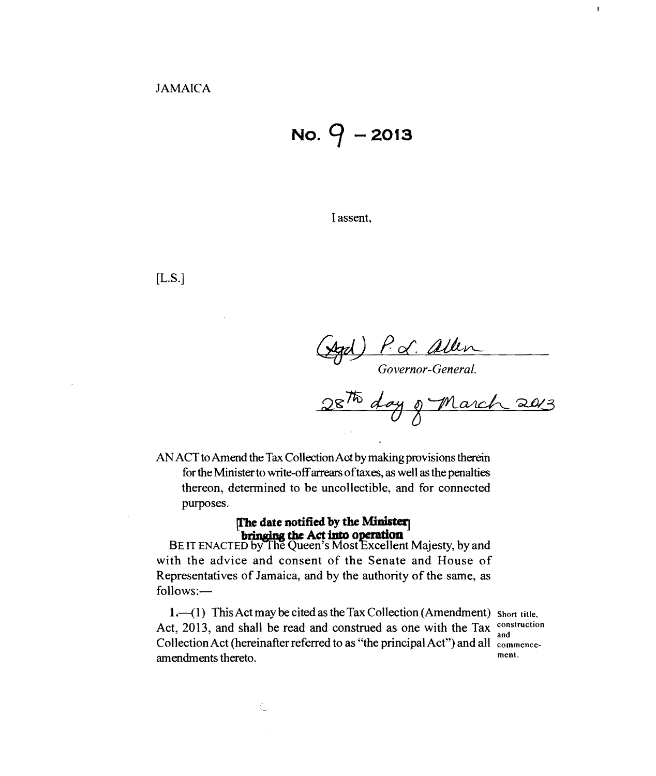$N$ <sup>o</sup>.  $9 - 2013$ 

I assent,

[L.S.]

(Agd) P.d. allen<br>Governor-General.<br>28<sup>776</sup> day of March 2013

AN ACT to Amend the Tax CollectionAot by making provisions therein for the Minister to write-off arrears oftaxes, as well as the penalties thereon, determined to be uncollectible, and for connected purposes.

> **[The date notified by the Minister]** bringing the Act into operation

BE IT ENACTED by The Queen's Most Excellent Majesty, by and with the advice and consent of the Senate and House of Representatives of Jamaica, and by the authority of the same, as follows:

1. $-(1)$  This Act may be cited as the Tax Collection (Amendment) Short title. Act, 2013, and shall be read and construed as one with the Tax  $\frac{\text{cons}}{\text{and}}$ Collection Act (hereinafter referred to as "the principal Act") and all commence-<br>ment. amendments thereto.

 $\mathbf{r}$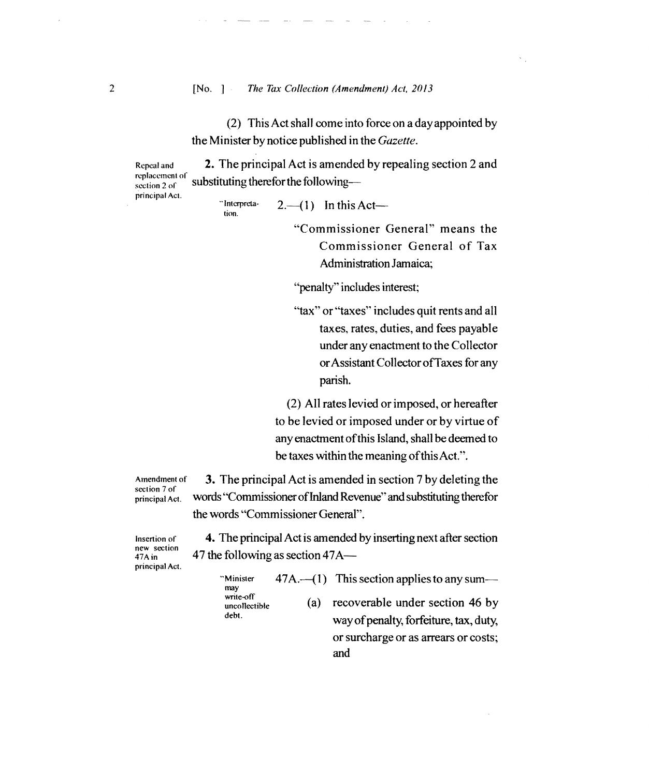## 2 [No. *The Tax Collection (Amendment) Act. 2013*

(2) This Act shall come into force on a day appointed by the Minister by notice published in the *Gazette.* 

Repeal and **2.** The principal Act is amended by repealing section 2 and replacement of **1.**  $\mathcal{L}(\mathcal{L}) = \int_{\mathcal{L}} d\mathcal{L}(\mathcal{L}) d\mathcal{L}(\mathcal{L}) d\mathcal{L}(\mathcal{L}) d\mathcal{L}(\mathcal{L}) d\mathcal{L}(\mathcal{L})$ replacement of substituting therefor the following-

principal Act.

tion.

"Interpreta  $2.-(1)$  In this Act-

> "Commissioner General" means the Commissioner General of Tax Administration Jamaica;

"penalty" includes interest;

"tax" or "taxes" includes quit rents and all taxes, rates, duties, and fees payable under any enactment to the Collector orAssistant CollectorofTaxes for any parish.

(2) All rates levied orimposed, or hereafter to be levied or imposed under or by virtue of any enactment ofthis Island, shall be deemed to be taxes within the meaning of this Act.".

section 7 of<br>principal Act.

Amendment of 3. The principal Act is amended in section 7 by deleting the words "Commissioner of Inland Revenue" and substituting therefor the words "Commissioner Geneml".

principal Act.

Insertion of **4.** The principal Act is amended by inserting next after section  $\frac{47 \text{ A in}}{47 \text{ A in}}$  47 the following as section 47A— 47 the following as section  $47A-$ 

and

"Minister  $47A$ .  $-(1)$  This section applies to any summay write-off<br>uncollectible (a) recoverable under section 46 by debt. way of penalty, forfeiture, tax, duty,

or surcharge or as arrears or costs;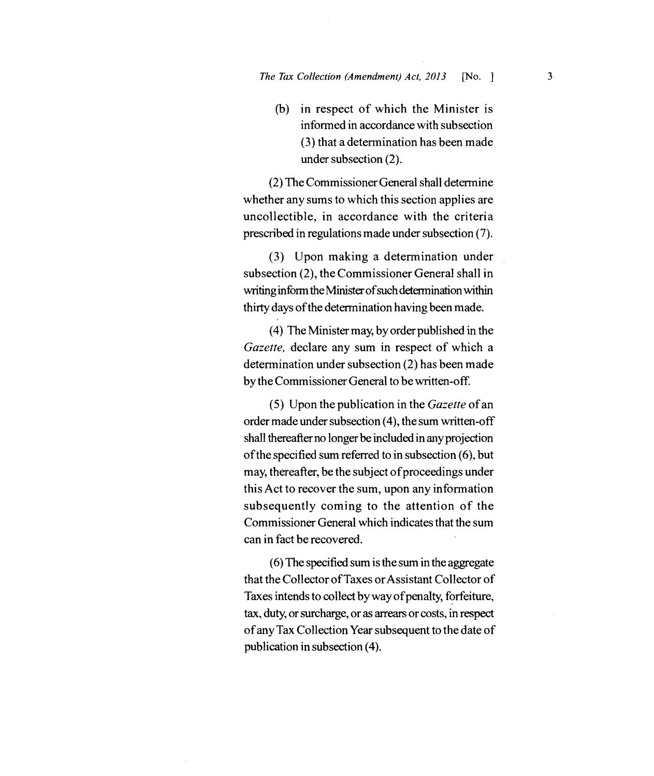(b) in respect of which the Minister is informed in accordance with subsection (3) that a determination has been made under subsection (2).

(2) The Commissioner General shall determine whether any sums to which this section applies are uncollectible, in accordance with the criteria prescribed in regulations made under subsection (7).

(3) Upon making a determination under subsection (2), the Commissioner General shall in writing inform the Minister of such determination within thirty days of the determination having been made.

(4) The Minister may, by order published in the *Gazette.* declare any sum in respect of which a determination under subsection (2) has been made by the Commissioner General to bewritten-off.

(5) Upon the publication in the *Gazette* ofan order made under subsection (4), the sum written-off shall thereafter no longer be included in any projection ofthe specified sum referred to in subsection (6), but may, thereafter, be the subject of proceedings under this Act to recover the sum, upon any information subsequently coming to the attention of the Commissioner General which indicates that the sum can in fact be recovered.

(6) The specified sum is the sum in the aggregate that the Collector ofTaxes orAssistant Collector of Taxes intends to collect by way of penalty, forfeiture, tax, duty, orsurcharge, or as arrears or costs, in respect ofany Tax Collection Year subsequent to the date of publication in subsection (4).